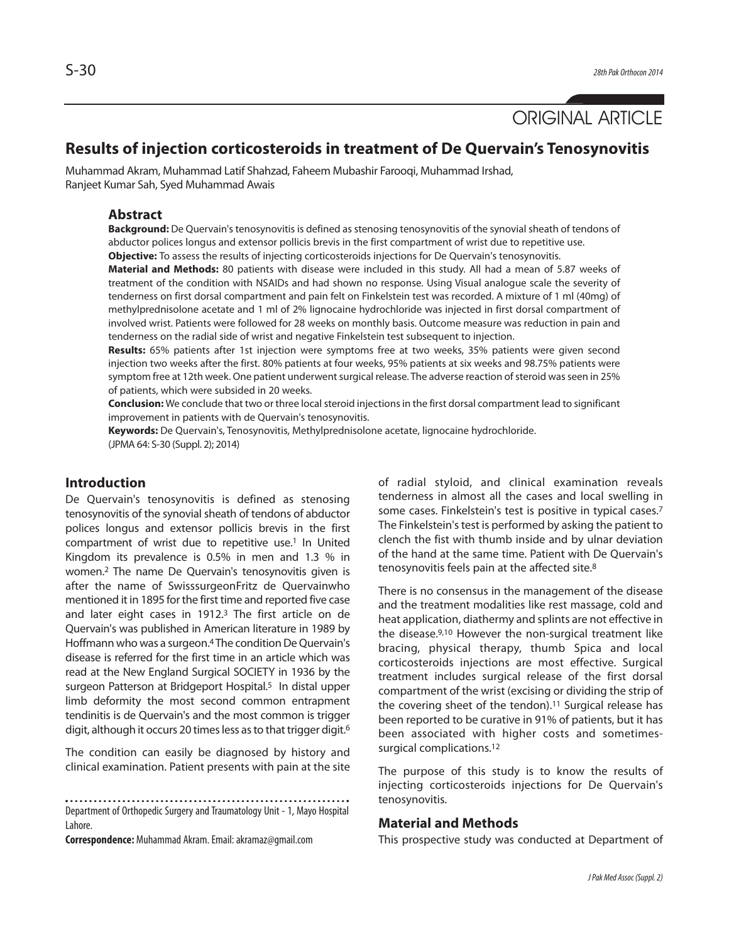# ORIGINAL ARTICLE

# **Results of injection corticosteroids in treatment of De Quervain's Tenosynovitis**

Muhammad Akram, Muhammad Latif Shahzad, Faheem Mubashir Farooqi, Muhammad Irshad, Ranjeet Kumar Sah, Syed Muhammad Awais

## **Abstract**

**Background:** De Quervain's tenosynovitis is defined as stenosing tenosynovitis of the synovial sheath of tendons of abductor polices longus and extensor pollicis brevis in the first compartment of wrist due to repetitive use. **Objective:** To assess the results of injecting corticosteroids injections for De Quervain's tenosynovitis.

**Material and Methods:** 80 patients with disease were included in this study. All had a mean of 5.87 weeks of treatment of the condition with NSAIDs and had shown no response. Using Visual analogue scale the severity of tenderness on first dorsal compartment and pain felt on Finkelstein test was recorded. A mixture of 1 ml (40mg) of methylprednisolone acetate and 1 ml of 2% lignocaine hydrochloride was injected in first dorsal compartment of involved wrist. Patients were followed for 28 weeks on monthly basis. Outcome measure was reduction in pain and tenderness on the radial side of wrist and negative Finkelstein test subsequent to injection.

**Results:** 65% patients after 1st injection were symptoms free at two weeks, 35% patients were given second injection two weeks after the first. 80% patients at four weeks, 95% patients at six weeks and 98.75% patients were symptom free at 12th week. One patient underwent surgical release. The adverse reaction of steroid was seen in 25% of patients, which were subsided in 20 weeks.

**Conclusion:** We conclude that two or three local steroid injections in the first dorsal compartment lead to significant improvement in patients with de Quervain's tenosynovitis.

**Keywords:** De Quervain's, Tenosynovitis, Methylprednisolone acetate, lignocaine hydrochloride. (JPMA 64: S-30 (Suppl. 2); 2014)

## **Introduction**

De Quervain's tenosynovitis is defined as stenosing tenosynovitis of the synovial sheath of tendons of abductor polices longus and extensor pollicis brevis in the first compartment of wrist due to repetitive use.<sup>1</sup> In United Kingdom its prevalence is 0.5% in men and 1.3 % in women.<sup>2</sup> The name De Quervain's tenosynovitis given is after the name of SwisssurgeonFritz de Quervainwho mentioned it in 1895 for the first time and reported five case and later eight cases in 1912.<sup>3</sup> The first article on de Quervain's was published in American literature in 1989 by Hoffmann who was a surgeon.<sup>4</sup> The condition De Quervain's disease is referred for the first time in an article which was read at the New England Surgical SOCIETY in 1936 by the surgeon Patterson at Bridgeport Hospital.<sup>5</sup> In distal upper limb deformity the most second common entrapment tendinitis is de Quervain's and the most common is trigger digit, although it occurs 20 times less as to that trigger digit.<sup>6</sup>

The condition can easily be diagnosed by history and clinical examination. Patient presents with pain at the site

. . . . .

Department of Orthopedic Surgery and Traumatology Unit - 1, Mayo Hospital Lahore.

**Correspondence:** Muhammad Akram. Email: akramaz@gmail.com

of radial styloid, and clinical examination reveals tenderness in almost all the cases and local swelling in some cases. Finkelstein's test is positive in typical cases.<sup>7</sup> The Finkelstein's test is performed by asking the patient to clench the fist with thumb inside and by ulnar deviation of the hand at the same time. Patient with De Quervain's tenosynovitis feels pain at the affected site.<sup>8</sup>

There is no consensus in the management of the disease and the treatment modalities like rest massage, cold and heat application, diathermy and splints are not effective in the disease.9,10 However the non-surgical treatment like bracing, physical therapy, thumb Spica and local corticosteroids injections are most effective. Surgical treatment includes surgical release of the first dorsal compartment of the wrist (excising or dividing the strip of the covering sheet of the tendon).<sup>11</sup> Surgical release has been reported to be curative in 91% of patients, but it has been associated with higher costs and sometimessurgical complications.<sup>12</sup>

The purpose of this study is to know the results of injecting corticosteroids injections for De Quervain's tenosynovitis.

#### **Material and Methods**

This prospective study was conducted at Department of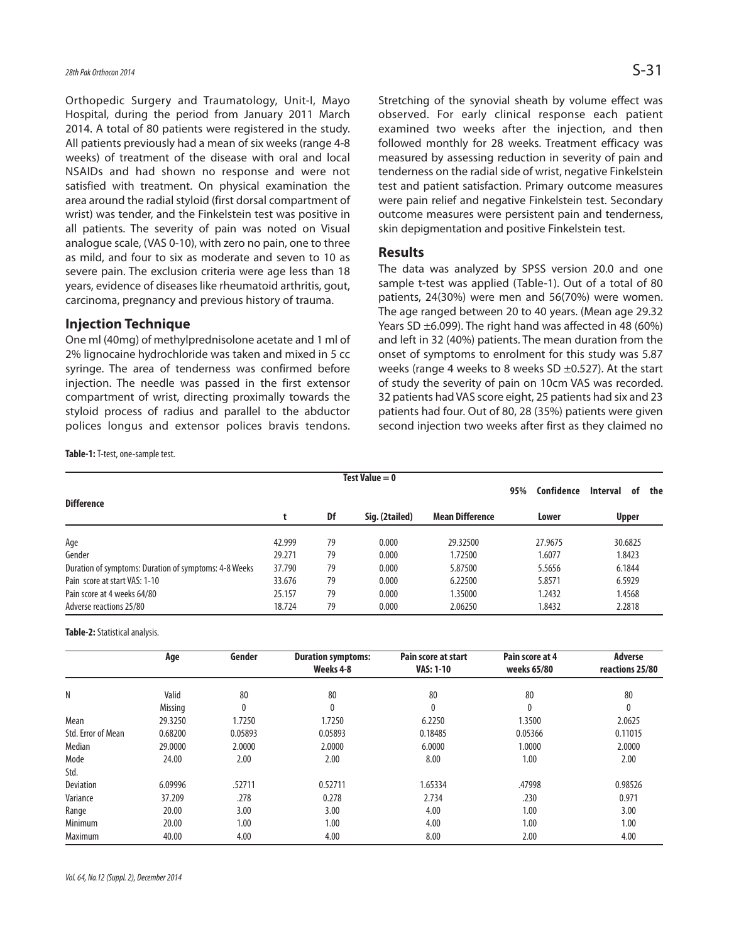Orthopedic Surgery and Traumatology, Unit-I, Mayo Hospital, during the period from January 2011 March 2014. A total of 80 patients were registered in the study. All patients previously had a mean of six weeks (range 4-8 weeks) of treatment of the disease with oral and local NSAIDs and had shown no response and were not satisfied with treatment. On physical examination the area around the radial styloid (first dorsal compartment of wrist) was tender, and the Finkelstein test was positive in all patients. The severity of pain was noted on Visual analogue scale, (VAS 0-10), with zero no pain, one to three as mild, and four to six as moderate and seven to 10 as severe pain. The exclusion criteria were age less than 18 years, evidence of diseases like rheumatoid arthritis, gout, carcinoma, pregnancy and previous history of trauma.

#### **Injection Technique**

One ml (40mg) of methylprednisolone acetate and 1 ml of 2% lignocaine hydrochloride was taken and mixed in 5 cc syringe. The area of tenderness was confirmed before injection. The needle was passed in the first extensor compartment of wrist, directing proximally towards the styloid process of radius and parallel to the abductor polices longus and extensor polices bravis tendons. Stretching of the synovial sheath by volume effect was observed. For early clinical response each patient examined two weeks after the injection, and then followed monthly for 28 weeks. Treatment efficacy was measured by assessing reduction in severity of pain and tenderness on the radial side of wrist, negative Finkelstein test and patient satisfaction. Primary outcome measures were pain relief and negative Finkelstein test. Secondary outcome measures were persistent pain and tenderness, skin depigmentation and positive Finkelstein test.

#### **Results**

The data was analyzed by SPSS version 20.0 and one sample t-test was applied (Table-1). Out of a total of 80 patients, 24(30%) were men and 56(70%) were women. The age ranged between 20 to 40 years. (Mean age 29.32 Years SD ±6.099). The right hand was affected in 48 (60%) and left in 32 (40%) patients. The mean duration from the onset of symptoms to enrolment for this study was 5.87 weeks (range 4 weeks to 8 weeks SD  $\pm$ 0.527). At the start of study the severity of pain on 10cm VAS was recorded. 32 patients had VAS score eight, 25 patients had six and 23 patients had four. Out of 80, 28 (35%) patients were given second injection two weeks after first as they claimed no

**Table-1:** T-test, one-sample test.

| Test Value $= 0$                                      |        |    |                |                        |       |            |              |         |     |  |  |
|-------------------------------------------------------|--------|----|----------------|------------------------|-------|------------|--------------|---------|-----|--|--|
| <b>Difference</b>                                     |        |    |                |                        | 95%   | Confidence | Interval     | 0f      | the |  |  |
|                                                       |        | Df | Sig. (2tailed) | <b>Mean Difference</b> | Lower |            | <b>Upper</b> |         |     |  |  |
| Age                                                   | 42.999 | 79 | 0.000          | 29.32500               |       | 27.9675    |              | 30.6825 |     |  |  |
| Gender                                                | 29.271 | 79 | 0.000          | 1.72500                |       | 1.6077     |              | 1.8423  |     |  |  |
| Duration of symptoms: Duration of symptoms: 4-8 Weeks | 37.790 | 79 | 0.000          | 5.87500                |       | 5.5656     |              | 6.1844  |     |  |  |
| Pain score at start VAS: 1-10                         | 33.676 | 79 | 0.000          | 6.22500                |       | 5.8571     |              | 6.5929  |     |  |  |
| Pain score at 4 weeks 64/80                           | 25.157 | 79 | 0.000          | 1.35000                |       | 1.2432     |              | 1.4568  |     |  |  |
| Adverse reactions 25/80                               | 18.724 | 79 | 0.000          | 2.06250                |       | 1.8432     |              | 2.2818  |     |  |  |

**Table-2:** Statistical analysis.

|                    | Age            | Gender  | <b>Duration symptoms:</b> | Pain score at start | Pain score at 4 | <b>Adverse</b>  |
|--------------------|----------------|---------|---------------------------|---------------------|-----------------|-----------------|
|                    |                |         | Weeks 4-8                 | <b>VAS: 1-10</b>    | weeks 65/80     | reactions 25/80 |
|                    |                |         |                           |                     |                 |                 |
| N                  | Valid          | 80      | 80                        | 80                  | 80              | 80              |
|                    | <b>Missing</b> | 0       | 0                         | 0                   | 0               | 0               |
| Mean               | 29.3250        | 1.7250  | 1.7250                    | 6.2250              | 1.3500          | 2.0625          |
| Std. Error of Mean | 0.68200        | 0.05893 | 0.05893                   | 0.18485             | 0.05366         | 0.11015         |
| Median             | 29,0000        | 2.0000  | 2.0000                    | 6.0000              | 1.0000          | 2.0000          |
| Mode               | 24.00          | 2.00    | 2.00                      | 8.00                | 1.00            | 2.00            |
| Std.               |                |         |                           |                     |                 |                 |
| <b>Deviation</b>   | 6.09996        | .52711  | 0.52711                   | 1.65334             | .47998          | 0.98526         |
| Variance           | 37.209         | .278    | 0.278                     | 2.734               | .230            | 0.971           |
| Range              | 20.00          | 3.00    | 3.00                      | 4.00                | 1.00            | 3.00            |
| Minimum            | 20.00          | 1.00    | 1.00                      | 4.00                | 1.00            | 1.00            |
| <b>Maximum</b>     | 40.00          | 4.00    | 4.00                      | 8.00                | 2.00            | 4.00            |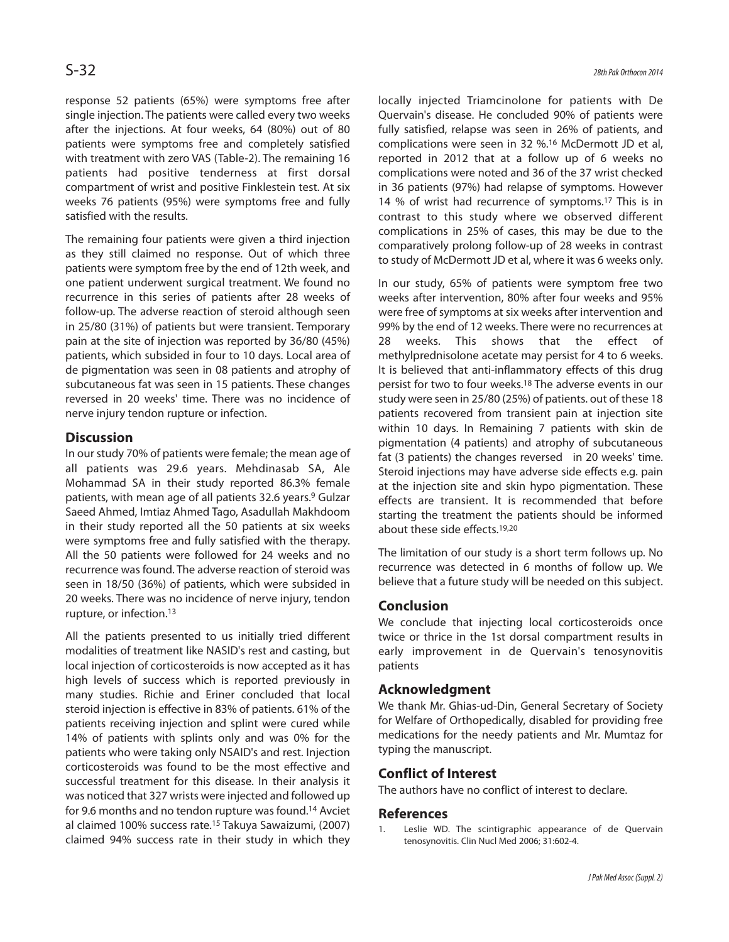response 52 patients (65%) were symptoms free after single injection. The patients were called every two weeks after the injections. At four weeks, 64 (80%) out of 80 patients were symptoms free and completely satisfied with treatment with zero VAS (Table-2). The remaining 16 patients had positive tenderness at first dorsal compartment of wrist and positive Finklestein test. At six weeks 76 patients (95%) were symptoms free and fully satisfied with the results.

The remaining four patients were given a third injection as they still claimed no response. Out of which three patients were symptom free by the end of 12th week, and one patient underwent surgical treatment. We found no recurrence in this series of patients after 28 weeks of follow-up. The adverse reaction of steroid although seen in 25/80 (31%) of patients but were transient. Temporary pain at the site of injection was reported by 36/80 (45%) patients, which subsided in four to 10 days. Local area of de pigmentation was seen in 08 patients and atrophy of subcutaneous fat was seen in 15 patients. These changes reversed in 20 weeks' time. There was no incidence of nerve injury tendon rupture or infection.

# **Discussion**

In our study 70% of patients were female; the mean age of all patients was 29.6 years. Mehdinasab SA, Ale Mohammad SA in their study reported 86.3% female patients, with mean age of all patients 32.6 years.<sup>9</sup> Gulzar Saeed Ahmed, Imtiaz Ahmed Tago, Asadullah Makhdoom in their study reported all the 50 patients at six weeks were symptoms free and fully satisfied with the therapy. All the 50 patients were followed for 24 weeks and no recurrence was found. The adverse reaction of steroid was seen in 18/50 (36%) of patients, which were subsided in 20 weeks. There was no incidence of nerve injury, tendon rupture, or infection.<sup>13</sup>

All the patients presented to us initially tried different modalities of treatment like NASID's rest and casting, but local injection of corticosteroids is now accepted as it has high levels of success which is reported previously in many studies. Richie and Eriner concluded that local steroid injection is effective in 83% of patients. 61% of the patients receiving injection and splint were cured while 14% of patients with splints only and was 0% for the patients who were taking only NSAID's and rest. Injection corticosteroids was found to be the most effective and successful treatment for this disease. In their analysis it was noticed that 327 wrists were injected and followed up for 9.6 months and no tendon rupture was found.<sup>14</sup> Avciet al claimed 100% success rate.<sup>15</sup> Takuya Sawaizumi, (2007) claimed 94% success rate in their study in which they locally injected Triamcinolone for patients with De Quervain's disease. He concluded 90% of patients were fully satisfied, relapse was seen in 26% of patients, and complications were seen in 32 %.<sup>16</sup> McDermott JD et al, reported in 2012 that at a follow up of 6 weeks no complications were noted and 36 of the 37 wrist checked in 36 patients (97%) had relapse of symptoms. However 14 % of wrist had recurrence of symptoms.<sup>17</sup> This is in contrast to this study where we observed different complications in 25% of cases, this may be due to the comparatively prolong follow-up of 28 weeks in contrast to study of McDermott JD et al, where it was 6 weeks only.

In our study, 65% of patients were symptom free two weeks after intervention, 80% after four weeks and 95% were free of symptoms at six weeks after intervention and 99% by the end of 12 weeks. There were no recurrences at 28 weeks. This shows that the effect of methylprednisolone acetate may persist for 4 to 6 weeks. It is believed that anti-inflammatory effects of this drug persist for two to four weeks.<sup>18</sup> The adverse events in our study were seen in 25/80 (25%) of patients. out of these 18 patients recovered from transient pain at injection site within 10 days. In Remaining 7 patients with skin de pigmentation (4 patients) and atrophy of subcutaneous fat (3 patients) the changes reversed in 20 weeks' time. Steroid injections may have adverse side effects e.g. pain at the injection site and skin hypo pigmentation. These effects are transient. It is recommended that before starting the treatment the patients should be informed about these side effects.19,20

The limitation of our study is a short term follows up. No recurrence was detected in 6 months of follow up. We believe that a future study will be needed on this subject.

# **Conclusion**

We conclude that injecting local corticosteroids once twice or thrice in the 1st dorsal compartment results in early improvement in de Quervain's tenosynovitis patients

# **Acknowledgment**

We thank Mr. Ghias-ud-Din, General Secretary of Society for Welfare of Orthopedically, disabled for providing free medications for the needy patients and Mr. Mumtaz for typing the manuscript.

# **Conflict of Interest**

The authors have no conflict of interest to declare.

# **References**

Leslie WD. The scintigraphic appearance of de Quervain tenosynovitis. Clin Nucl Med 2006; 31:602-4.